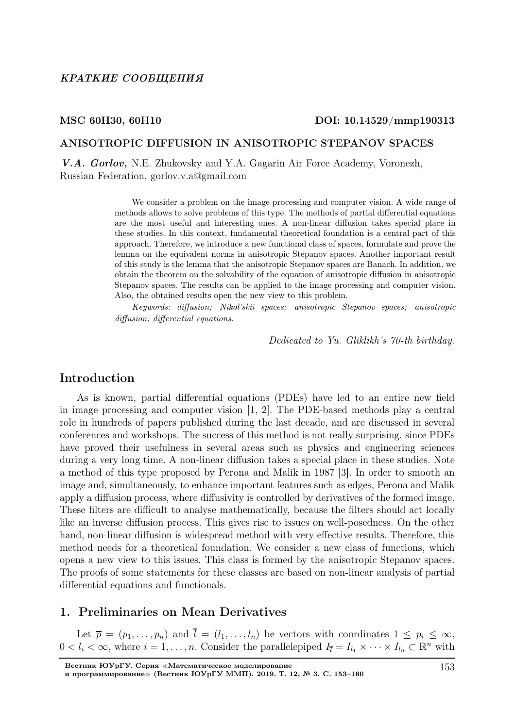### MSC 60H30, 60H10 DOI: 10.14529/mmp190313

#### ANISOTROPIC DIFFUSION IN ANISOTROPIC STEPANOV SPACES

V.A. Gorlov, N.E. Zhukovsky and Y.A. Gagarin Air Force Academy, Voronezh, Russian Federation, gorlov.v.a@gmail.com

> We consider a problem on the image processing and computer vision. A wide range of methods allows to solve problems of this type. The methods of partial differential equations are the most useful and interesting ones. A non-linear diffusion takes special place in these studies. In this context, fundamental theoretical foundation is a central part of this approach. Therefore, we introduce a new functional class of spaces, formulate and prove the lemma on the equivalent norms in anisotropic Stepanov spaces. Another important result of this study is the lemma that the anisotropic Stepanov spaces are Banach. In addition, we obtain the theorem on the solvability of the equation of anisotropic diffusion in anisotropic Stepanov spaces. The results can be applied to the image processing and computer vision. Also, the obtained results open the new view to this problem.

> Keywords: diffusion; Nikol'skii spaces; anisotropic Stepanov spaces; anisotropic diffusion; differential equations.

> > Dedicated to Yu. Gliklikh's 70-th birthday.

### Introduction

As is known, partial differential equations (PDEs) have led to an entire new field in image processing and computer vision [1, 2]. The PDE-based methods play a central role in hundreds of papers published during the last decade, and are discussed in several conferences and workshops. The success of this method is not really surprising, since PDEs have proved their usefulness in several areas such as physics and engineering sciences during a very long time. A non-linear diffusion takes a special place in these studies. Note a method of this type proposed by Perona and Malik in 1987 [3]. In order to smooth an image and, simultaneously, to enhance important features such as edges, Perona and Malik apply a diffusion process, where diffusivity is controlled by derivatives of the formed image. These filters are difficult to analyse mathematically, because the filters should act locally like an inverse diffusion process. This gives rise to issues on well-posedness. On the other hand, non-linear diffusion is widespread method with very effective results. Therefore, this method needs for a theoretical foundation. We consider a new class of functions, which opens a new view to this issues. This class is formed by the anisotropic Stepanov spaces. The proofs of some statements for these classes are based on non-linear analysis of partial differential equations and functionals.

## 1. Preliminaries on Mean Derivatives

Let  $\overline{p} = (p_1, \ldots, p_n)$  and  $l = (l_1, \ldots, l_n)$  be vectors with coordinates  $1 \leq p_i \leq \infty$ ,  $0 < l_i < \infty$ , where  $i = 1, \ldots, n$ . Consider the parallelepiped  $I_{\bar{l}} = I_{l_1} \times \cdots \times I_{l_n} \subset \mathbb{R}^n$  with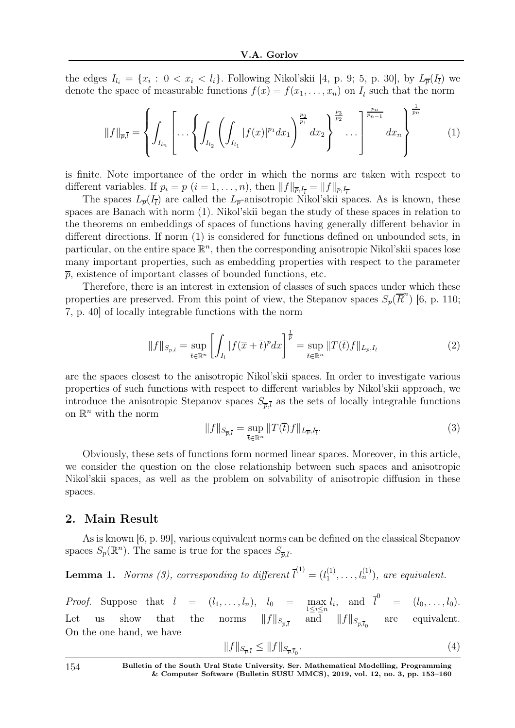the edges  $I_{l_i} = \{x_i : 0 < x_i < l_i\}$ . Following Nikol'skii [4, p. 9; 5, p. 30], by  $L_{\overline{p}}(I_{\overline{l}})$  we denote the space of measurable functions  $f(x) = f(x_1, \ldots, x_n)$  on  $I_{\bar{l}}$  such that the norm

$$
||f||_{\overline{p},\overline{l}} = \left\{ \int_{I_{l_n}} \left[ \dots \left\{ \int_{I_{l_2}} \left( \int_{I_{l_1}} |f(x)|^{p_1} dx_1 \right)^{\frac{p_2}{p_1}} dx_2 \right\}^{\frac{p_3}{p_2}} \dots \right]^{\frac{p_n}{p_{n-1}}} dx_n \right\}^{\frac{1}{p_n}} \qquad (1)
$$

is finite. Note importance of the order in which the norms are taken with respect to different variables. If  $p_i = p$   $(i = 1, ..., n)$ , then  $||f||_{\overline{p},I_{\overline{l}}} = ||f||_{p,I_{\overline{l}}}$ .

The spaces  $L_{\overline{p}}(I_{\overline{l}})$  are called the  $L_{\overline{p}}$ -anisotropic Nikol'skii spaces. As is known, these spaces are Banach with norm (1). Nikol'skii began the study of these spaces in relation to the theorems on embeddings of spaces of functions having generally different behavior in different directions. If norm (1) is considered for functions defined on unbounded sets, in particular, on the entire space  $\mathbb{R}^n$ , then the corresponding anisotropic Nikol'skii spaces lose many important properties, such as embedding properties with respect to the parameter  $\bar{p}$ , existence of important classes of bounded functions, etc.

Therefore, there is an interest in extension of classes of such spaces under which these properties are preserved. From this point of view, the Stepanov spaces  $S_p(\overline{R}^n)$  [6, p. 110; 7, p. 40] of locally integrable functions with the norm

$$
||f||_{S_{p,l}} = \sup_{\overline{t} \in \mathbb{R}^n} \left[ \int_{I_l} |f(\overline{x} + \overline{t})^p dx \right]^{\frac{1}{p}} = \sup_{\overline{t} \in \mathbb{R}^n} ||T(\overline{t})f||_{L_p, I_l}
$$
(2)

are the spaces closest to the anisotropic Nikol'skii spaces. In order to investigate various properties of such functions with respect to different variables by Nikol'skii approach, we introduce the anisotropic Stepanov spaces  $S_{\overline{p},\overline{l}}$  as the sets of locally integrable functions on  $\mathbb{R}^n$  with the norm

$$
||f||_{S_{\overline{p},\overline{l}}} = \sup_{\overline{t} \in \mathbb{R}^n} ||T(\overline{t})f||_{L_{\overline{p}},I_{\overline{l}}}.
$$
\n(3)

Obviously, these sets of functions form normed linear spaces. Moreover, in this article, we consider the question on the close relationship between such spaces and anisotropic Nikol'skii spaces, as well as the problem on solvability of anisotropic diffusion in these spaces.

## 2. Main Result

As is known [6, p. 99], various equivalent norms can be defined on the classical Stepanov spaces  $S_p(\mathbb{R}^n)$ . The same is true for the spaces  $S_{\overline{p},\overline{l}}$ .

**Lemma 1.** Norms (3), corresponding to different  $\overline{l}^{(1)} = (l_1^{(1)})$  $l_1^{(1)}, \ldots, l_n^{(1)}$ , are equivalent.

*Proof.* Suppose that  $l = (l_1, \ldots, l_n), l_0 = \max_{1 \leq i \leq n} l_i$ , and  $\overline{l}^0 = (l_0, \ldots, l_0)$ . Let us show that the norms  $||f||_{S_{\overline{p},\overline{l}}}$  and  $||f||_{S_{\overline{p},\overline{l}_0}}$  are equivalent. On the one hand, we have

$$
||f||_{S_{\overline{p},\overline{l}}} \le ||f||_{S_{\overline{p},\overline{l}_0}}.\tag{4}
$$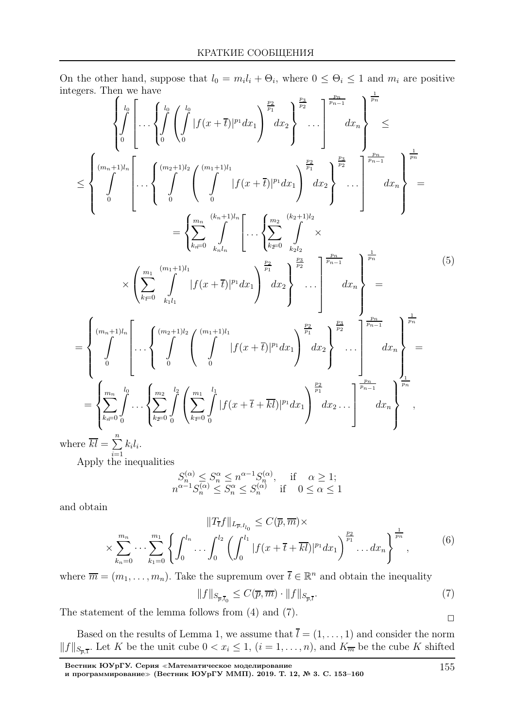On the other hand, suppose that  $l_0 = m_i l_i + \Theta_i$ , where  $0 \leq \Theta_i \leq 1$  and  $m_i$  are positive integers. Then we have pn

eges. Then we have  
\n
$$
\left\{\int_{0}^{l_{0}}\left[\ldots\left\{\int_{0}^{l_{0}}\left(\int_{0}^{l_{0}}|f(x+\overline{t})|^{p_{1}}dx_{1}\right)^{\frac{p_{2}}{p_{1}}}dx_{2}\right\}^{\frac{p_{3}}{p_{2}}}\ldots\right]^{\frac{p_{n}}{p_{n-1}}}dx_{n}\right\}^{\frac{p_{n}}{p_{n}}} \leq
$$
\n
$$
\leq \left\{\int_{0}^{(m_{n}+1)l_{n}}\left[\ldots\left\{\int_{0}^{(m_{2}+1)l_{2}}\left(\int_{0}^{(m_{1}+1)l_{1}}|f(x+\overline{t})|^{p_{1}}dx_{1}\right)^{\frac{p_{2}}{p_{1}}}dx_{2}\right\}^{\frac{p_{3}}{p_{2}}}\ldots\right]^{\frac{p_{n}}{p_{n-1}}}dx_{n}\right\}^{\frac{p_{n}}{p_{n-1}}}
$$
\n
$$
= \left\{\sum_{k=0}^{m_{n}}\int_{k_{1}l_{1}}^{(k_{n}+1)l_{n}}\left[\ldots\left\{\sum_{k=0}^{m_{2}}\int_{k_{2}l_{2}}^{(k_{2}+1)l_{2}}\right\}^{2}\ldots\right]^{\frac{p_{n}}{p_{n-1}}}dx_{n}\right\}^{\frac{p_{n}}{p_{n-1}}}
$$
\n
$$
\times\left(\sum_{k=0}^{m_{1}}\int_{k_{1}l_{1}}^{(m_{1}+1)l_{1}}|f(x+\overline{t})|^{p_{1}}dx_{1}\right)^{\frac{p_{2}}{p_{1}}}dx_{2}\right\}^{\frac{p_{3}}{p_{2}}}\ldots\left\{^{\frac{p_{n}}{p_{n-1}}}-1\right\}^{\frac{1}{p_{n}}}\ldots\left\{^{\frac{p_{n}}{p_{n-1}}}-1\right\}^{\frac{1}{p_{n}}}
$$
\n
$$
= \left\{\int_{0}^{(m_{n}+1)l_{n}}\left[\ldots\left\{\int_{0}^{(m_{2}+1)l_{2}}\left(\int_{0}^{(m_{1}+1)l_{1}}|f(x+\overline{t})|^{p_{1}}dx_{1}\right)^{\frac{p_{2}}{p_{1}}}dx_{2}\
$$

where  $\overline{kl} = \sum^{n}$  $\frac{i=1}{i}$  $k_i l_i$ .

Apply the inequalities

$$
S_n^{(\alpha)} \le S_n^{\alpha} \le n^{\alpha-1} S_n^{(\alpha)}, \quad \text{if} \quad \alpha \ge 1; n^{\alpha-1} S_n^{(\alpha)} \le S_n^{\alpha} \le S_n^{(\alpha)} \quad \text{if} \quad 0 \le \alpha \le 1
$$

and obtain

$$
||T_{\overline{t}}f||_{L_{\overline{p},I_{l_0}}} \leq C(\overline{p}, \overline{m}) \times
$$
  
 
$$
\times \sum_{k_n=0}^{m_n} \cdots \sum_{k_1=0}^{m_1} \left\{ \int_0^{l_n} \cdots \int_0^{l_2} \left( \int_0^{l_1} |f(x+\overline{t}+\overline{kl})|^{p_1} dx_1 \right)^{\frac{p_2}{p_1}} \cdots dx_n \right\}^{\frac{1}{p_n}},
$$
 (6)

where  $\overline{m} = (m_1, \ldots, m_n)$ . Take the supremum over  $\overline{t} \in \mathbb{R}^n$  and obtain the inequality

$$
||f||_{S_{\overline{p},\overline{l}_0}} \le C(\overline{p},\overline{m}) \cdot ||f||_{S_{\overline{p},\overline{l}}}.
$$
\n
$$
(7)
$$

The statement of the lemma follows from (4) and (7).  $\Box$ 

Based on the results of Lemma 1, we assume that  $\overline{l} = (1, \ldots, 1)$  and consider the norm  $||f||_{S_{\overline{p},\overline{1}}}$ . Let K be the unit cube  $0 < x_i \leq 1$ ,  $(i = 1, \ldots, n)$ , and  $K_{\overline{m}}$  be the cube K shifted

Вестник ЮУрГУ. Серия <sup>≪</sup>Математическое моделирование

и программирование≫ (Вестник ЮУрГУ ММП). 2019. Т. 12, № 3. С. 153–160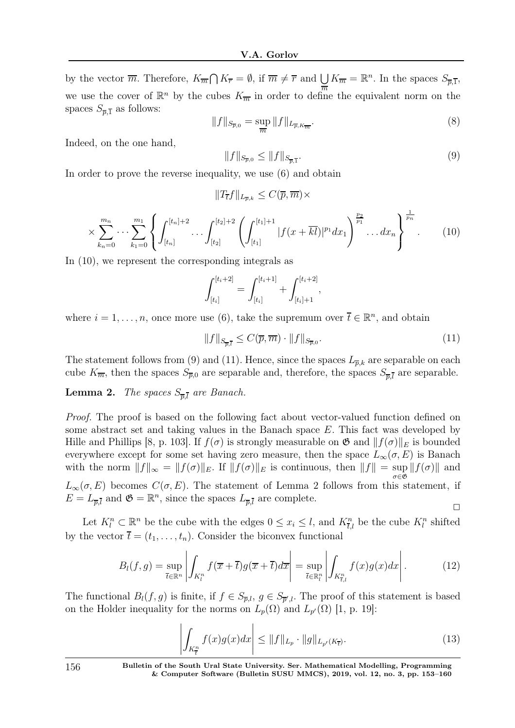by the vector  $\overline{m}$ . Therefore,  $K_{\overline{m}} \cap K_{\overline{r}} = \emptyset$ , if  $\overline{m} \neq \overline{r}$  and  $\bigcup K_{\overline{m}} = \mathbb{R}^n$ . In the spaces  $S_{\overline{p},\overline{1}}$ , we use the cover of  $\mathbb{R}^n$  by the cubes  $K_{\overline{m}}$  in order to define the equivalent norm on the spaces  $S_{\overline{p,1}}$  as follows:

$$
||f||_{S_{\overline{p},0}} = \sup_{\overline{m}} ||f||_{L_{\overline{p},K_{\overline{m}}}}.
$$
\n(8)

Indeed, on the one hand,

$$
||f||_{S_{\overline{p},0}} \le ||f||_{S_{\overline{p},\overline{1}}}.\tag{9}
$$

In order to prove the reverse inequality, we use (6) and obtain

$$
||T_{\overline{t}}f||_{L_{\overline{p},k}} \leq C(\overline{p},\overline{m}) \times
$$

$$
\times \sum_{k_n=0}^{m_n} \cdots \sum_{k_1=0}^{m_1} \left\{ \int_{[t_n]}^{[t_n]+2} \cdots \int_{[t_2]}^{[t_2]+2} \left( \int_{[t_1]}^{[t_1]+1} |f(x+\overline{kl})|^{p_1} dx_1 \right)^{\frac{p_2}{p_1}} \cdots dx_n \right\}^{\frac{1}{p_n}}.
$$
 (10)

In (10), we represent the corresponding integrals as

$$
\int_{[t_i]}^{[t_i+2]} = \int_{[t_i]}^{[t_i+1]} + \int_{[t_i]+1}^{[t_i+2]},
$$

where  $i = 1, \ldots, n$ , once more use (6), take the supremum over  $\overline{t} \in \mathbb{R}^n$ , and obtain

$$
||f||_{S_{\overline{p},\overline{l}}} \leq C(\overline{p},\overline{m}) \cdot ||f||_{S_{\overline{p},0}}.\tag{11}
$$

The statement follows from (9) and (11). Hence, since the spaces  $L_{\overline{p},k}$  are separable on each cube  $K_{\overline{m}}$ , then the spaces  $S_{\overline{p},0}$  are separable and, therefore, the spaces  $S_{\overline{p},\overline{l}}$  are separable.

**Lemma 2.** The spaces  $S_{\overline{p},\overline{l}}$  are Banach.

Proof. The proof is based on the following fact about vector-valued function defined on some abstract set and taking values in the Banach space E. This fact was developed by Hille and Phillips [8, p. 103]. If  $f(\sigma)$  is strongly measurable on  $\mathfrak{G}$  and  $|| f(\sigma) ||_E$  is bounded everywhere except for some set having zero measure, then the space  $L_{\infty}(\sigma, E)$  is Banach with the norm  $||f||_{\infty} = ||f(\sigma)||_E$ . If  $||f(\sigma)||_E$  is continuous, then  $||f|| = \sup ||f(\sigma)||$  and σ∈G  $L_{\infty}(\sigma, E)$  becomes  $C(\sigma, E)$ . The statement of Lemma 2 follows from this statement, if  $E = L_{\overline{p},\overline{l}}$  and  $\mathfrak{G} = \mathbb{R}^n$ , since the spaces  $L_{\overline{p},\overline{l}}$  are complete.  $\Box$ 

Let  $K_l^n \subset \mathbb{R}^n$  be the cube with the edges  $0 \le x_i \le l$ , and  $K_{\overline{t},l}^n$  be the cube  $K_l^n$  shifted by the vector  $\bar{t} = (t_1, \ldots, t_n)$ . Consider the biconvex functional

$$
B_l(f,g) = \sup_{\overline{t} \in \mathbb{R}^n} \left| \int_{K_l^n} f(\overline{x} + \overline{t}) g(\overline{x} + \overline{t}) d\overline{x} \right| = \sup_{\overline{t} \in \mathbb{R}^n_l} \left| \int_{K_{\overline{t},l}^n} f(x) g(x) dx \right|.
$$
 (12)

The functional  $B_l(f, g)$  is finite, if  $f \in S_{\overline{p},l}$ ,  $g \in S_{\overline{p}',l}$ . The proof of this statement is based on the Holder inequality for the norms on  $L_p(\Omega)$  and  $L_{p'}(\Omega)$  [1, p. 19]:

$$
\left| \int_{K_{\overline{t}}^n} f(x)g(x)dx \right| \le \|f\|_{L_p} \cdot \|g\|_{L_{p'}(K_{\overline{t}})}.
$$
\n(13)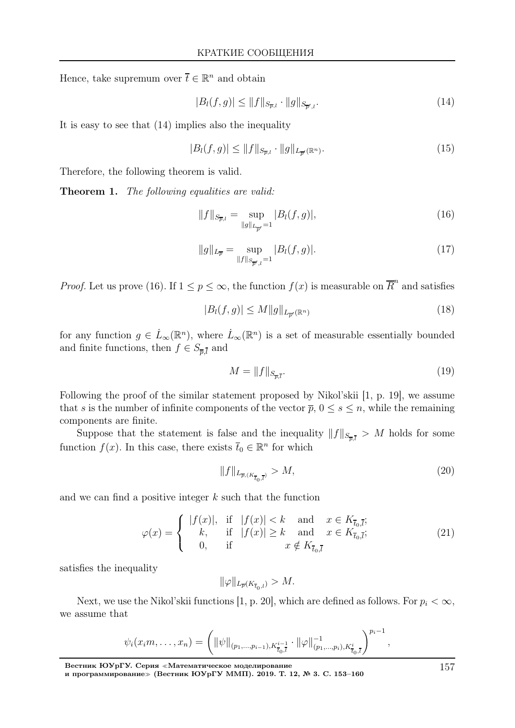Hence, take supremum over  $\bar{t} \in \mathbb{R}^n$  and obtain

$$
|B_l(f,g)| \le \|f\|_{S_{\overline{p},l}} \cdot \|g\|_{S_{\overline{p}',l}}.\tag{14}
$$

It is easy to see that (14) implies also the inequality

$$
|B_l(f,g)| \le \|f\|_{S_{\overline{p},l}} \cdot \|g\|_{L_{\overline{p}'}(\mathbb{R}^n)}.
$$
\n(15)

Therefore, the following theorem is valid.

Theorem 1. The following equalities are valid:

$$
||f||_{S_{\overline{p},l}} = \sup_{||g||_{L_{\overline{p'}}}=1} |B_l(f,g)|,
$$
\n(16)

$$
||g||_{L_{\overline{p}}} = \sup_{||f||_{S_{\overline{p}^{\prime},l}}=1} |B_l(f,g)|. \tag{17}
$$

*Proof.* Let us prove (16). If  $1 \leq p \leq \infty$ , the function  $f(x)$  is measurable on  $\overline{R}^n$  and satisfies

$$
|B_l(f,g)| \le M \|g\|_{L_{\overline{p}'}(\mathbb{R}^n)}\tag{18}
$$

for any function  $g \in L_\infty(\mathbb{R}^n)$ , where  $\dot{L}_\infty(\mathbb{R}^n)$  is a set of measurable essentially bounded and finite functions, then  $f \in S_{\overline{p},\overline{l}}$  and

$$
M = \|f\|_{S_{\overline{p},\overline{l}}}.\tag{19}
$$

Following the proof of the similar statement proposed by Nikol'skii [1, p. 19], we assume that s is the number of infinite components of the vector  $\overline{p}$ ,  $0 \leq s \leq n$ , while the remaining components are finite.

Suppose that the statement is false and the inequality  $||f||_{S_{\overline{p},l}} > M$  holds for some function  $f(x)$ . In this case, there exists  $\bar{t}_0 \in \mathbb{R}^n$  for which

$$
||f||_{L_{\overline{p},(K_{\overline{t}_0,\overline{t}})}} > M,
$$
\n(20)

and we can find a positive integer k such that the function

$$
\varphi(x) = \begin{cases}\n|f(x)|, & \text{if } |f(x)| < k \text{ and } x \in K_{\overline{t}_0, \overline{l}}; \\
k, & \text{if } |f(x)| \ge k \text{ and } x \in K_{\overline{t}_0, \overline{l}}; \\
0, & \text{if } x \notin K_{\overline{t}_0, \overline{l}}.\n\end{cases}
$$
\n(21)

satisfies the inequality

$$
\|\varphi\|_{L_{\overline{p}}(K_{\overline{t}_0,l})}>M.
$$

Next, we use the Nikol'skii functions [1, p. 20], which are defined as follows. For  $p_i < \infty$ , we assume that

$$
\psi_i(x_i m, \ldots, x_n) = \left( \|\psi\|_{(p_1,\ldots,p_{i-1}), K_{\bar{t}_0,\bar{t}}^{i-1}} \cdot \|\varphi\|_{(p_1,\ldots,p_i), K_{\bar{t}_0,\bar{t}}^{i}}^{-1} \right)^{p_i-1},
$$

Вестник ЮУрГУ. Серия <sup>≪</sup>Математическое моделирование и программирование≫ (Вестник ЮУрГУ ММП). 2019. Т. 12, № 3. С. 153–160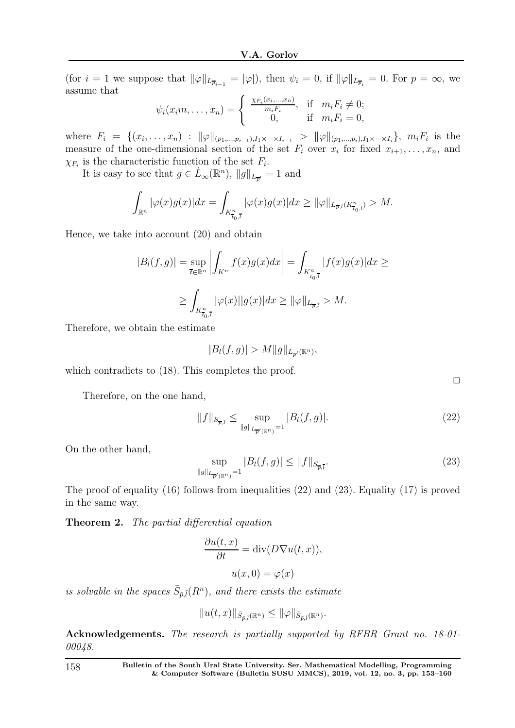(for  $i = 1$  we suppose that  $\|\varphi\|_{L_{\overline{p}_{i-1}}} = |\varphi|$ ), then  $\psi_i = 0$ , if  $\|\varphi\|_{L_{\overline{p}_i}} = 0$ . For  $p = \infty$ , we assume that

$$
\psi_i(x_i m, \dots, x_n) = \begin{cases} \frac{\chi_{F_i}(x_i, \dots, x_n)}{m_i F_i}, & \text{if } m_i F_i \neq 0; \\ 0, & \text{if } m_i F_i = 0, \end{cases}
$$

where  $F_i = \{(x_i, \ldots, x_n) : ||\varphi||_{(p_1, \ldots, p_{i-1}), I_1 \times \cdots \times I_{i-1}} > ||\varphi||_{(p_1, \ldots, p_i), I_1 \times \cdots \times I_i}\}, m_i F_i$  is the measure of the one-dimensional section of the set  $F_i$  over  $x_i$  for fixed  $x_{i+1}, \ldots, x_n$ , and  $\chi_{F_i}$  is the characteristic function of the set  $F_i$ .

It is easy to see that  $g \in L_\infty(\mathbb{R}^n)$ ,  $||g||_{L_{\overline{p'}}} = 1$  and

$$
\int_{\mathbb{R}^n} |\varphi(x)g(x)| dx = \int_{K_{\overline{t}_0,\overline{t}}} |\varphi(x)g(x)| dx \ge ||\varphi||_{L_{\overline{p},l}(K_{\overline{t}_0,l}^n)} > M.
$$

Hence, we take into account (20) and obtain

$$
|B_l(f,g)| = \sup_{\overline{t} \in \mathbb{R}^n} \left| \int_{K^n} f(x)g(x)dx \right| = \int_{K_{\overline{t}_0,\overline{t}}} |f(x)g(x)|dx \ge
$$
  

$$
\ge \int_{K_{\overline{t}_0,\overline{t}}} |\varphi(x)| |g(x)|dx \ge ||\varphi||_{L_{\overline{p},\overline{t}}} > M.
$$

Therefore, we obtain the estimate

$$
|B_l(f,g)| > M ||g||_{L_{\overline{p}'}(\mathbb{R}^n)},
$$

which contradicts to  $(18)$ . This completes the proof.

Therefore, on the one hand,

$$
||f||_{S_{\overline{p},\overline{l}}} \le \sup_{||g||_{L_{\overline{p}'}(\mathbb{R}^n)}=1} |B_l(f,g)|. \tag{22}
$$

On the other hand,

$$
\sup_{\|g\|_{L_{\overline{p'}}(\mathbb{R}^n)}=1} |B_l(f,g)| \le \|f\|_{S_{\overline{p},\overline{l}}}.\tag{23}
$$

The proof of equality (16) follows from inequalities (22) and (23). Equality (17) is proved in the same way.

Theorem 2. The partial differential equation

$$
\frac{\partial u(t, x)}{\partial t} = \text{div}(D\nabla u(t, x)),
$$

$$
u(x, 0) = \varphi(x)
$$

is solvable in the spaces  $\bar{S}_{\bar{p},\bar{l}}(R^n)$ , and there exists the estimate

$$
||u(t,x)||_{\bar{S}_{\bar{p},\bar{l}}(\mathbb{R}^n)} \leq ||\varphi||_{\bar{S}_{\bar{p},\bar{l}}(\mathbb{R}^n)}.
$$

Acknowledgements. The research is partially supported by RFBR Grant no. 18-01- 00048.

 $\Box$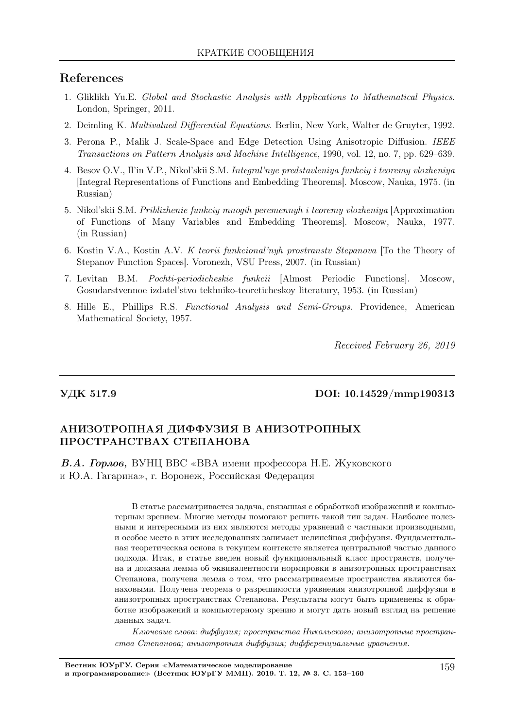## References

- 1. Gliklikh Yu.E. Global and Stochastic Analysis with Applications to Mathematical Physics. London, Springer, 2011.
- 2. Deimling K. Multivalued Differential Equations. Berlin, New York, Walter de Gruyter, 1992.
- 3. Perona P., Malik J. Scale-Space and Edge Detection Using Anisotropic Diffusion. IEEE Transactions on Pattern Analysis and Machine Intelligence, 1990, vol. 12, no. 7, pp. 629–639.
- 4. Besov O.V., Il'in V.P., Nikol'skii S.M. Integral'nye predstavleniya funkciy i teoremy vlozheniya [Integral Representations of Functions and Embedding Theorems]. Moscow, Nauka, 1975. (in Russian)
- 5. Nikol'skii S.M. Priblizhenie funkciy mnogih peremennyh i teoremy vlozheniya [Approximation of Functions of Many Variables and Embedding Theorems]. Moscow, Nauka, 1977. (in Russian)
- 6. Kostin V.A., Kostin A.V. K teorii funkcional'nyh prostranstv Stepanova [To the Theory of Stepanov Function Spaces]. Voronezh, VSU Press, 2007. (in Russian)
- 7. Levitan B.M. Pochti-periodicheskie funkcii [Almost Periodic Functions]. Moscow, Gosudarstvennoe izdatel'stvo tekhniko-teoreticheskoy literatury, 1953. (in Russian)
- 8. Hille E., Phillips R.S. Functional Analysis and Semi-Groups. Providence, American Mathematical Society, 1957.

Received February 26, 2019

### УДК 517.9 DOI: 10.14529/mmp190313

## АНИЗОТРОПНАЯ ДИФФУЗИЯ В АНИЗОТРОПНЫХ ПРОСТРАНСТВАХ СТЕПАНОВА

В.А. Горлов, ВУНЦ ВВС <sup>≪</sup>ВВА имени профессора Н.Е. Жуковского и Ю.А. Гагарина≫, г. Воронеж, Российская Федерация

> В статье рассматривается задача, связанная с обработкой изображений и компьютерным зрением. Многие методы помогают решить такой тип задач. Наиболее полезными и интересными из них являются методы уравнений с частными производными, и особое место в этих исследованиях занимает нелинейная диффузия. Фундаментальная теоретическая основа в текущем контексте является центральной частью данного подхода. Итак, в статье введен новый функциональный класс пространств, получена и доказана лемма об эквивалентности нормировки в анизотропных пространствах Степанова, получена лемма о том, что рассматриваемые пространства являются банаховыми. Получена теорема о разрешимости уравнения анизотропной диффузии в анизотропных пространствах Степанова. Результаты могут быть применены к обработке изображений и компьютерному зрению и могут дать новый взгляд на решение данных задач.

> Ключевые слова: диффузия; пространства Никольского; анизотропные пространства Степанова; анизотропная диффузия; дифференциальные уравнения.